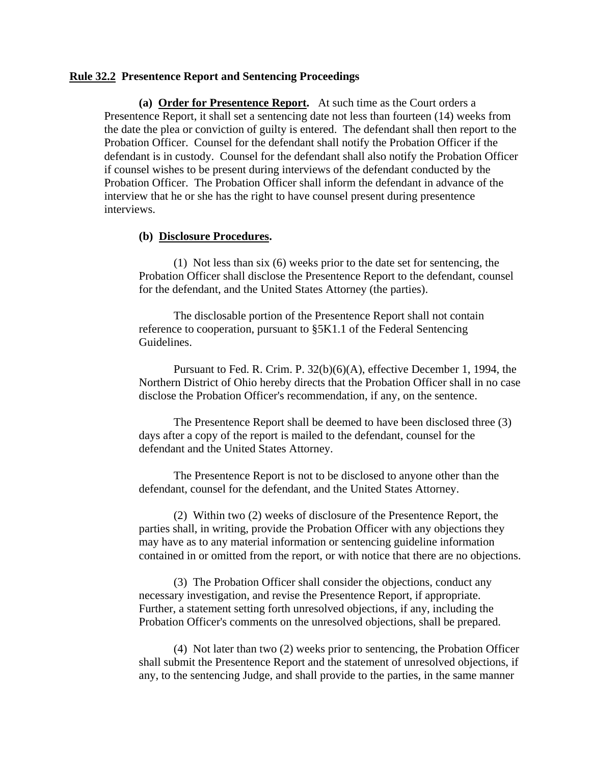## **Rule 32.2 Presentence Report and Sentencing Proceedings**

**(a) Order for Presentence Report.** At such time as the Court orders a Presentence Report, it shall set a sentencing date not less than fourteen (14) weeks from the date the plea or conviction of guilty is entered. The defendant shall then report to the Probation Officer. Counsel for the defendant shall notify the Probation Officer if the defendant is in custody. Counsel for the defendant shall also notify the Probation Officer if counsel wishes to be present during interviews of the defendant conducted by the Probation Officer. The Probation Officer shall inform the defendant in advance of the interview that he or she has the right to have counsel present during presentence interviews.

## **(b) Disclosure Procedures.**

 (1) Not less than six (6) weeks prior to the date set for sentencing, the Probation Officer shall disclose the Presentence Report to the defendant, counsel for the defendant, and the United States Attorney (the parties).

 The disclosable portion of the Presentence Report shall not contain reference to cooperation, pursuant to §5K1.1 of the Federal Sentencing Guidelines.

 Pursuant to Fed. R. Crim. P. 32(b)(6)(A), effective December 1, 1994, the Northern District of Ohio hereby directs that the Probation Officer shall in no case disclose the Probation Officer's recommendation, if any, on the sentence.

 The Presentence Report shall be deemed to have been disclosed three (3) days after a copy of the report is mailed to the defendant, counsel for the defendant and the United States Attorney.

 The Presentence Report is not to be disclosed to anyone other than the defendant, counsel for the defendant, and the United States Attorney.

 (2) Within two (2) weeks of disclosure of the Presentence Report, the parties shall, in writing, provide the Probation Officer with any objections they may have as to any material information or sentencing guideline information contained in or omitted from the report, or with notice that there are no objections.

 (3) The Probation Officer shall consider the objections, conduct any necessary investigation, and revise the Presentence Report, if appropriate. Further, a statement setting forth unresolved objections, if any, including the Probation Officer's comments on the unresolved objections, shall be prepared.

 (4) Not later than two (2) weeks prior to sentencing, the Probation Officer shall submit the Presentence Report and the statement of unresolved objections, if any, to the sentencing Judge, and shall provide to the parties, in the same manner